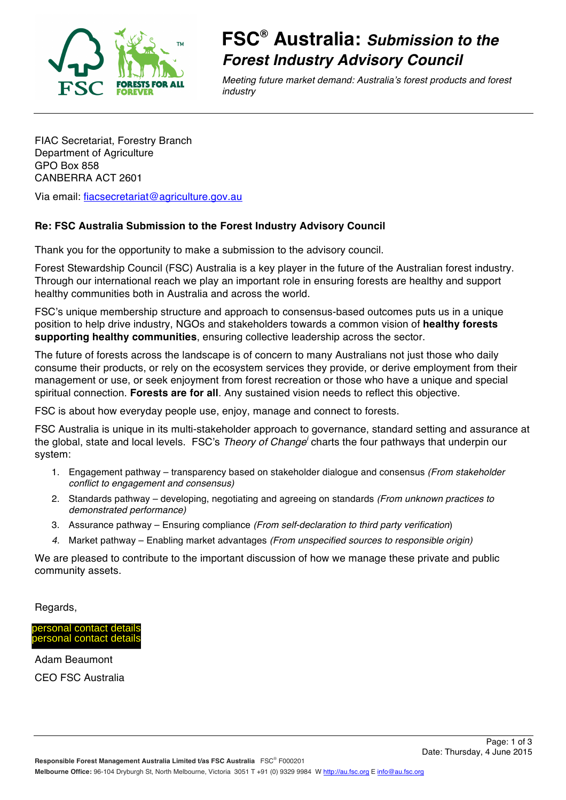

# **FSC® Australia:** *Submission to the Forest Industry Advisory Council*

*Meeting future market demand: Australia's forest products and forest industry*

FIAC Secretariat, Forestry Branch Department of Agriculture GPO Box 858 CANBERRA ACT 2601

Via email: fiacsecretariat@agriculture.gov.au

### **Re: FSC Australia Submission to the Forest Industry Advisory Council**

Thank you for the opportunity to make a submission to the advisory council.

Forest Stewardship Council (FSC) Australia is a key player in the future of the Australian forest industry. Through our international reach we play an important role in ensuring forests are healthy and support healthy communities both in Australia and across the world.

FSC's unique membership structure and approach to consensus-based outcomes puts us in a unique position to help drive industry, NGOs and stakeholders towards a common vision of **healthy forests supporting healthy communities**, ensuring collective leadership across the sector.

The future of forests across the landscape is of concern to many Australians not just those who daily consume their products, or rely on the ecosystem services they provide, or derive employment from their management or use, or seek enjoyment from forest recreation or those who have a unique and special spiritual connection. **Forests are for all**. Any sustained vision needs to reflect this objective.

FSC is about how everyday people use, enjoy, manage and connect to forests.

FSC Australia is unique in its multi-stakeholder approach to governance, standard setting and assurance at the global, state and local levels. FSC's *Theory of Change<sup>i</sup>* charts the four pathways that underpin our system:

- 1. Engagement pathway transparency based on stakeholder dialogue and consensus *(From stakeholder conflict to engagement and consensus)*
- 2. Standards pathway developing, negotiating and agreeing on standards *(From unknown practices to demonstrated performance)*
- 3. Assurance pathway Ensuring compliance *(From self-declaration to third party verification*)
- *4.* Market pathway Enabling market advantages *(From unspecified sources to responsible origin)*

We are pleased to contribute to the important discussion of how we manage these private and public community assets.

Regards,

<mark>ional contact d</mark>e rsonal contact deta

Adam Beaumont CEO FSC Australia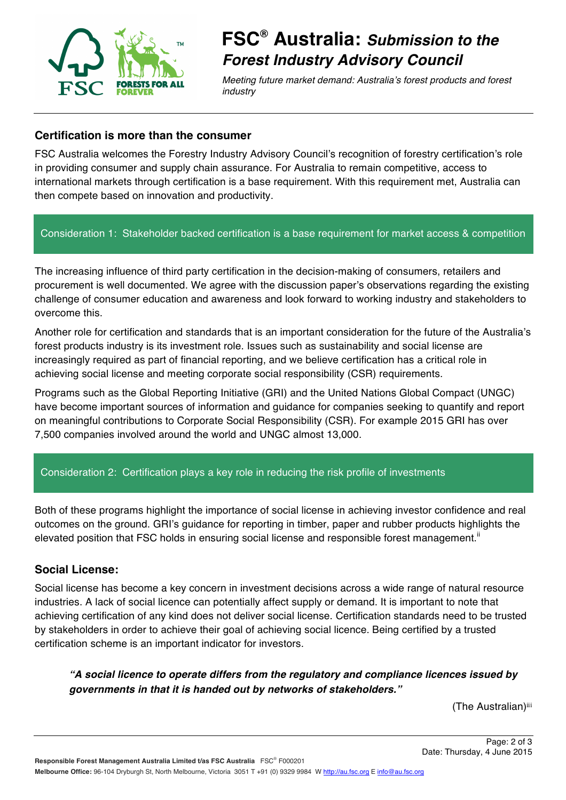

# **FSC® Australia:** *Submission to the Forest Industry Advisory Council*

*Meeting future market demand: Australia's forest products and forest industry*

## **Certification is more than the consumer**

FSC Australia welcomes the Forestry Industry Advisory Council's recognition of forestry certification's role in providing consumer and supply chain assurance. For Australia to remain competitive, access to international markets through certification is a base requirement. With this requirement met, Australia can then compete based on innovation and productivity.

## Consideration 1: Stakeholder backed certification is a base requirement for market access & competition

The increasing influence of third party certification in the decision-making of consumers, retailers and procurement is well documented. We agree with the discussion paper's observations regarding the existing challenge of consumer education and awareness and look forward to working industry and stakeholders to overcome this.

Another role for certification and standards that is an important consideration for the future of the Australia's forest products industry is its investment role. Issues such as sustainability and social license are increasingly required as part of financial reporting, and we believe certification has a critical role in achieving social license and meeting corporate social responsibility (CSR) requirements.

Programs such as the Global Reporting Initiative (GRI) and the United Nations Global Compact (UNGC) have become important sources of information and guidance for companies seeking to quantify and report on meaningful contributions to Corporate Social Responsibility (CSR). For example 2015 GRI has over 7,500 companies involved around the world and UNGC almost 13,000.

## Consideration 2: Certification plays a key role in reducing the risk profile of investments

Both of these programs highlight the importance of social license in achieving investor confidence and real outcomes on the ground. GRI's guidance for reporting in timber, paper and rubber products highlights the elevated position that FSC holds in ensuring social license and responsible forest management.<sup>ii</sup>

## **Social License:**

Social license has become a key concern in investment decisions across a wide range of natural resource industries. A lack of social licence can potentially affect supply or demand. It is important to note that achieving certification of any kind does not deliver social license. Certification standards need to be trusted by stakeholders in order to achieve their goal of achieving social licence. Being certified by a trusted certification scheme is an important indicator for investors.

*"A social licence to operate differs from the regulatory and compliance licences issued by governments in that it is handed out by networks of stakeholders."*

(The Australian)iii